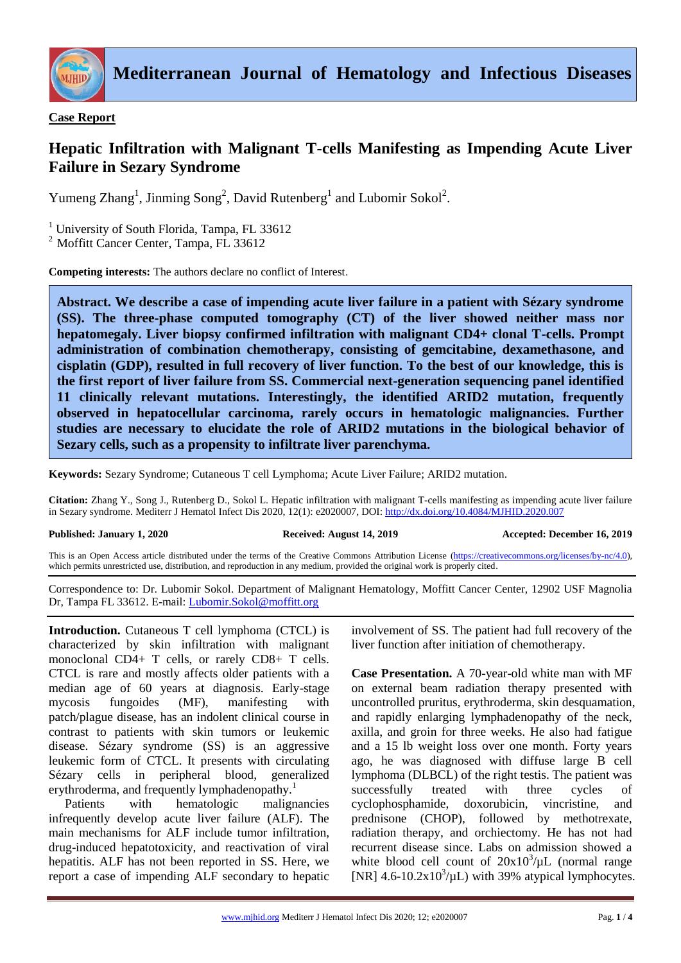

## **Case Report**

## **Hepatic Infiltration with Malignant T-cells Manifesting as Impending Acute Liver Failure in Sezary Syndrome**

Yumeng Zhang<sup>1</sup>, Jinming Song<sup>2</sup>, David Rutenberg<sup>1</sup> and Lubomir Sokol<sup>2</sup>.

<sup>1</sup> University of South Florida, Tampa, FL 33612

<sup>2</sup> Moffitt Cancer Center, Tampa, FL 33612

**Competing interests:** The authors declare no conflict of Interest.

**Abstract. We describe a case of impending acute liver failure in a patient with Sézary syndrome (SS). The three-phase computed tomography (CT) of the liver showed neither mass nor hepatomegaly. Liver biopsy confirmed infiltration with malignant CD4+ clonal T-cells. Prompt administration of combination chemotherapy, consisting of gemcitabine, dexamethasone, and cisplatin (GDP), resulted in full recovery of liver function. To the best of our knowledge, this is the first report of liver failure from SS. Commercial next-generation sequencing panel identified 11 clinically relevant mutations. Interestingly, the identified ARID2 mutation, frequently observed in hepatocellular carcinoma, rarely occurs in hematologic malignancies. Further studies are necessary to elucidate the role of ARID2 mutations in the biological behavior of Sezary cells, such as a propensity to infiltrate liver parenchyma.**

**Keywords:** Sezary Syndrome; Cutaneous T cell Lymphoma; Acute Liver Failure; ARID2 mutation.

**Citation:** Zhang Y., Song J., Rutenberg D., Sokol L. Hepatic infiltration with malignant T-cells manifesting as impending acute liver failure in Sezary syndrome. Mediterr J Hematol Infect Dis 2020, 12(1): e2020007, DOI[: http://dx.doi.org/10.4084/MJHID.2020.007](http://dx.doi.org/10.4084/MJHID.2020.007)

**Published: January 1, 2020 Received: August 14, 2019 Accepted: December 16, 2019**

This is an Open Access article distributed under the terms of the Creative Commons Attribution License [\(https://creativecommons.org/licenses/by-nc/4.0\)](https://creativecommons.org/licenses/by-nc/4.0), which permits unrestricted use, distribution, and reproduction in any medium, provided the original work is properly cited.

Correspondence to: Dr. Lubomir Sokol. Department of Malignant Hematology, Moffitt Cancer Center, 12902 USF Magnolia Dr, Tampa FL 33612. E-mail: [Lubomir.Sokol@moffitt.org](mailto:Lubomir.Sokol@moffitt.org)

**Introduction.** Cutaneous T cell lymphoma (CTCL) is characterized by skin infiltration with malignant monoclonal CD4+ T cells, or rarely CD8+ T cells. CTCL is rare and mostly affects older patients with a median age of 60 years at diagnosis. Early-stage mycosis fungoides (MF), manifesting with patch/plague disease, has an indolent clinical course in contrast to patients with skin tumors or leukemic disease. Sézary syndrome (SS) is an aggressive leukemic form of CTCL. It presents with circulating Sézary cells in peripheral blood, generalized erythroderma, and frequently lymphadenopathy.<sup>1</sup>

Patients with hematologic malignancies infrequently develop acute liver failure (ALF). The main mechanisms for ALF include tumor infiltration, drug-induced hepatotoxicity, and reactivation of viral hepatitis. ALF has not been reported in SS. Here, we report a case of impending ALF secondary to hepatic involvement of SS. The patient had full recovery of the liver function after initiation of chemotherapy.

**Case Presentation.** A 70-year-old white man with MF on external beam radiation therapy presented with uncontrolled pruritus, erythroderma, skin desquamation, and rapidly enlarging lymphadenopathy of the neck, axilla, and groin for three weeks. He also had fatigue and a 15 lb weight loss over one month. Forty years ago, he was diagnosed with diffuse large B cell lymphoma (DLBCL) of the right testis. The patient was successfully treated with three cycles of cyclophosphamide, doxorubicin, vincristine, and prednisone (CHOP), followed by methotrexate, radiation therapy, and orchiectomy. He has not had recurrent disease since. Labs on admission showed a white blood cell count of  $20x10^3/\mu L$  (normal range [NR]  $4.6 - 10.2 \times 10^3/\mu L$ ) with 39% atypical lymphocytes.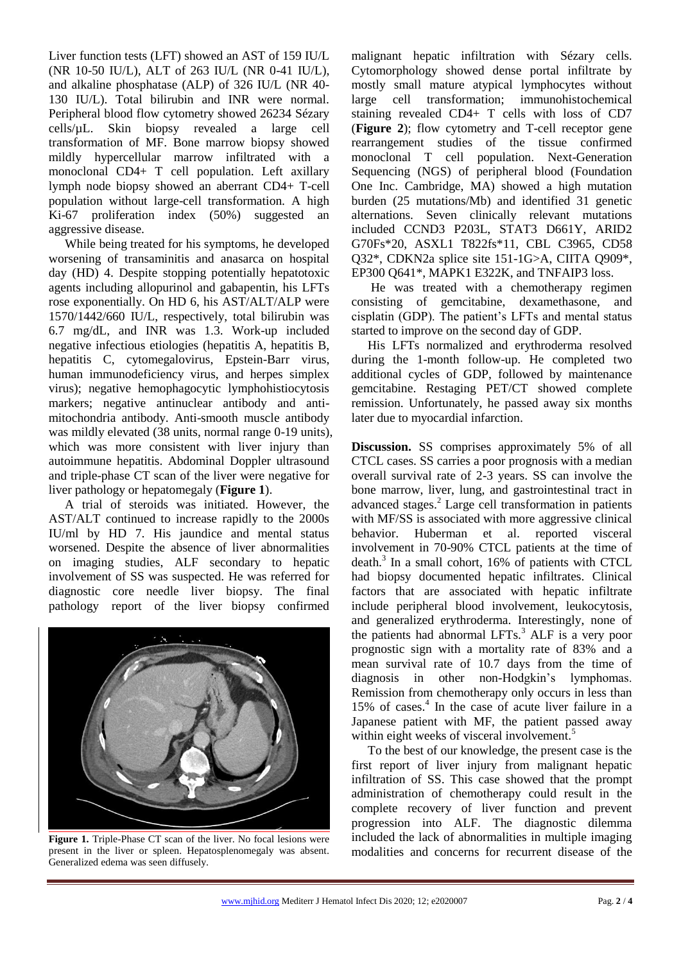Liver function tests (LFT) showed an AST of 159 IU/L (NR 10-50 IU/L), ALT of 263 IU/L (NR 0-41 IU/L), and alkaline phosphatase (ALP) of 326 IU/L (NR 40- 130 IU/L). Total bilirubin and INR were normal. Peripheral blood flow cytometry showed 26234 Sézary cells/µL. Skin biopsy revealed a large cell transformation of MF. Bone marrow biopsy showed mildly hypercellular marrow infiltrated with a monoclonal CD4+ T cell population. Left axillary lymph node biopsy showed an aberrant CD4+ T-cell population without large-cell transformation. A high Ki-67 proliferation index (50%) suggested an aggressive disease.

While being treated for his symptoms, he developed worsening of transaminitis and anasarca on hospital day (HD) 4. Despite stopping potentially hepatotoxic agents including allopurinol and gabapentin, his LFTs rose exponentially. On HD 6, his AST/ALT/ALP were 1570/1442/660 IU/L, respectively, total bilirubin was 6.7 mg/dL, and INR was 1.3. Work-up included negative infectious etiologies (hepatitis A, hepatitis B, hepatitis C, cytomegalovirus, Epstein-Barr virus, human immunodeficiency virus, and herpes simplex virus); negative hemophagocytic lymphohistiocytosis markers; negative antinuclear antibody and antimitochondria antibody. Anti-smooth muscle antibody was mildly elevated (38 units, normal range 0-19 units), which was more consistent with liver injury than autoimmune hepatitis. Abdominal Doppler ultrasound and triple-phase CT scan of the liver were negative for liver pathology or hepatomegaly (**Figure 1**).

A trial of steroids was initiated. However, the AST/ALT continued to increase rapidly to the 2000s IU/ml by HD 7. His jaundice and mental status worsened. Despite the absence of liver abnormalities on imaging studies, ALF secondary to hepatic involvement of SS was suspected. He was referred for diagnostic core needle liver biopsy. The final pathology report of the liver biopsy confirmed



**Figure 1.** Triple-Phase CT scan of the liver. No focal lesions were present in the liver or spleen. Hepatosplenomegaly was absent. Generalized edema was seen diffusely.

malignant hepatic infiltration with Sézary cells. Cytomorphology showed dense portal infiltrate by mostly small mature atypical lymphocytes without large cell transformation; immunohistochemical staining revealed CD4+ T cells with loss of CD7 (**Figure 2**); flow cytometry and T-cell receptor gene rearrangement studies of the tissue confirmed monoclonal T cell population. Next-Generation Sequencing (NGS) of peripheral blood (Foundation One Inc. Cambridge, MA) showed a high mutation burden (25 mutations/Mb) and identified 31 genetic alternations. Seven clinically relevant mutations included CCND3 P203L, STAT3 D661Y, ARID2 G70Fs\*20, ASXL1 T822fs\*11, CBL C3965, CD58 Q32\*, CDKN2a splice site 151-1G>A, CIITA Q909\*, EP300 Q641\*, MAPK1 E322K, and TNFAIP3 loss.

He was treated with a chemotherapy regimen consisting of gemcitabine, dexamethasone, and cisplatin (GDP). The patient's LFTs and mental status started to improve on the second day of GDP.

His LFTs normalized and erythroderma resolved during the 1-month follow-up. He completed two additional cycles of GDP, followed by maintenance gemcitabine. Restaging PET/CT showed complete remission. Unfortunately, he passed away six months later due to myocardial infarction.

**Discussion.** SS comprises approximately 5% of all CTCL cases. SS carries a poor prognosis with a median overall survival rate of 2-3 years. SS can involve the bone marrow, liver, lung, and gastrointestinal tract in advanced stages.<sup>2</sup> Large cell transformation in patients with MF/SS is associated with more aggressive clinical behavior. Huberman et al. reported visceral involvement in 70-90% CTCL patients at the time of death.<sup>3</sup> In a small cohort, 16% of patients with CTCL had biopsy documented hepatic infiltrates. Clinical factors that are associated with hepatic infiltrate include peripheral blood involvement, leukocytosis, and generalized erythroderma. Interestingly, none of the patients had abnormal LFTs.<sup>3</sup> ALF is a very poor prognostic sign with a mortality rate of 83% and a mean survival rate of 10.7 days from the time of diagnosis in other non-Hodgkin's lymphomas. Remission from chemotherapy only occurs in less than 15% of cases.<sup>4</sup> In the case of acute liver failure in a Japanese patient with MF, the patient passed away within eight weeks of visceral involvement.<sup>5</sup>

To the best of our knowledge, the present case is the first report of liver injury from malignant hepatic infiltration of SS. This case showed that the prompt administration of chemotherapy could result in the complete recovery of liver function and prevent progression into ALF. The diagnostic dilemma included the lack of abnormalities in multiple imaging modalities and concerns for recurrent disease of the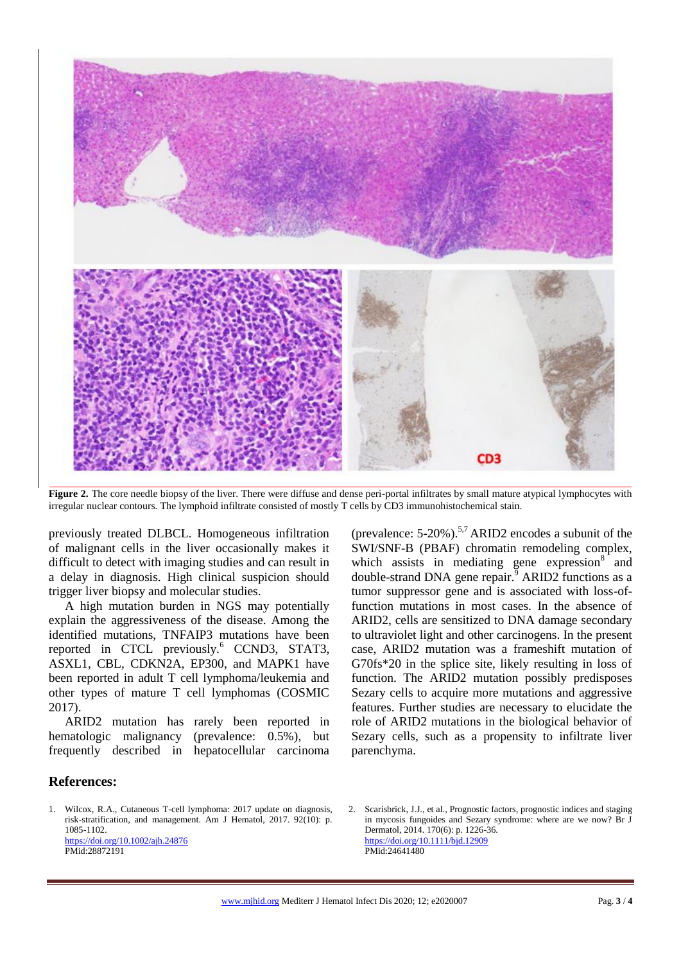

Figure 2. The core needle biopsy of the liver. There were diffuse and dense peri-portal infiltrates by small mature atypical lymphocytes with irregular nuclear contours. The lymphoid infiltrate consisted of mostly T cells by CD3 immunohistochemical stain.

previously treated DLBCL. Homogeneous infiltration of malignant cells in the liver occasionally makes it difficult to detect with imaging studies and can result in a delay in diagnosis. High clinical suspicion should trigger liver biopsy and molecular studies.

A high mutation burden in NGS may potentially explain the aggressiveness of the disease. Among the identified mutations, TNFAIP3 mutations have been reported in CTCL previously.<sup>6</sup> CCND3, STAT3, ASXL1, CBL, CDKN2A, EP300, and MAPK1 have been reported in adult T cell lymphoma/leukemia and other types of mature T cell lymphomas (COSMIC 2017).

ARID2 mutation has rarely been reported in hematologic malignancy (prevalence: 0.5%), but frequently described in hepatocellular carcinoma

(prevalence: 5-20%). 5,7 ARID2 encodes a subunit of the SWI/SNF-B (PBAF) chromatin remodeling complex, which assists in mediating gene expression $8<sup>2</sup>$  and double-strand DNA gene repair.<sup> $\overline{9}$ </sup> ARID2 functions as a tumor suppressor gene and is associated with loss-offunction mutations in most cases. In the absence of ARID2, cells are sensitized to DNA damage secondary to ultraviolet light and other carcinogens. In the present case, ARID2 mutation was a frameshift mutation of G70fs\*20 in the splice site, likely resulting in loss of function. The ARID2 mutation possibly predisposes Sezary cells to acquire more mutations and aggressive features. Further studies are necessary to elucidate the role of ARID2 mutations in the biological behavior of Sezary cells, such as a propensity to infiltrate liver parenchyma.

## **References:**

1. Wilcox, R.A., Cutaneous T-cell lymphoma: 2017 update on diagnosis, risk-stratification, and management. Am J Hematol, 2017. 92(10): p. 1085-1102. <https://doi.org/10.1002/ajh.24876>

PMid:28872191

2. Scarisbrick, J.J., et al., Prognostic factors, prognostic indices and staging in mycosis fungoides and Sezary syndrome: where are we now? Br J Dermatol, 2014. 170(6): p. 1226-36. <https://doi.org/10.1111/bjd.12909> PMid:24641480